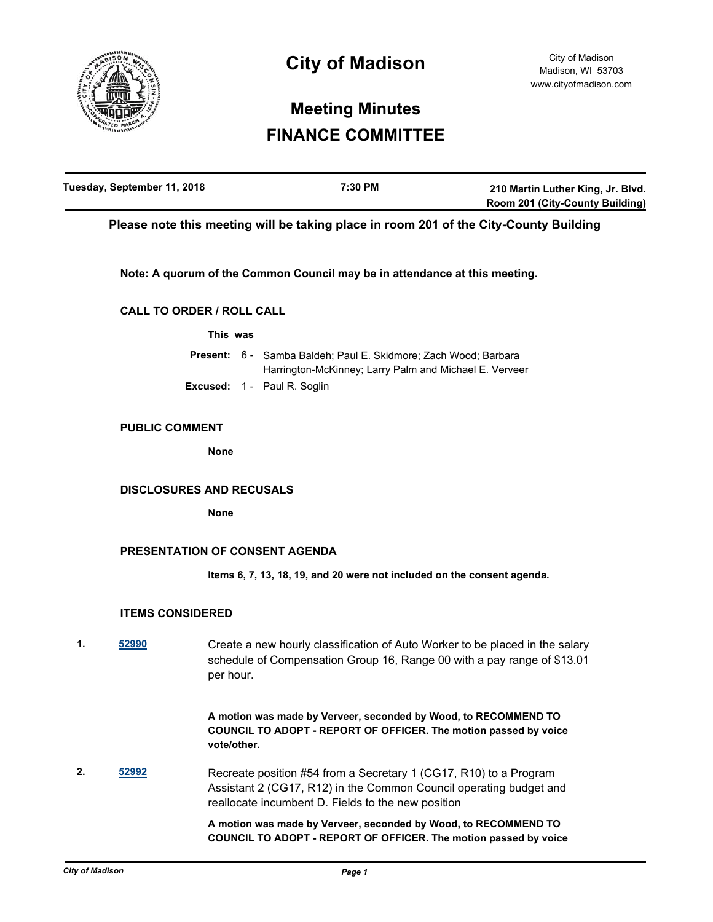

# **City of Madison**

# **Meeting Minutes FINANCE COMMITTEE**

| Tuesday, September 11, 2018 | 7:30 PM | 210 Martin Luther King, Jr. Blvd.      |
|-----------------------------|---------|----------------------------------------|
|                             |         | <b>Room 201 (City-County Building)</b> |

**Please note this meeting will be taking place in room 201 of the City-County Building**

**Note: A quorum of the Common Council may be in attendance at this meeting.**

# **CALL TO ORDER / ROLL CALL**

**This was**

|  | <b>Present:</b> 6 - Samba Baldeh: Paul E. Skidmore: Zach Wood: Barbara |  |
|--|------------------------------------------------------------------------|--|
|  | Harrington-McKinney; Larry Palm and Michael E. Verveer                 |  |
|  | <b>Excused: 1 - Paul R. Soglin</b>                                     |  |

### **PUBLIC COMMENT**

**None**

### **DISCLOSURES AND RECUSALS**

**None**

# **PRESENTATION OF CONSENT AGENDA**

**Items 6, 7, 13, 18, 19, and 20 were not included on the consent agenda.**

# **ITEMS CONSIDERED**

**1. [52990](http://madison.legistar.com/gateway.aspx?m=l&id=/matter.aspx?key=59631)** Create a new hourly classification of Auto Worker to be placed in the salary schedule of Compensation Group 16, Range 00 with a pay range of \$13.01 per hour.

> **A motion was made by Verveer, seconded by Wood, to RECOMMEND TO COUNCIL TO ADOPT - REPORT OF OFFICER. The motion passed by voice vote/other.**

**2. [52992](http://madison.legistar.com/gateway.aspx?m=l&id=/matter.aspx?key=59633)** Recreate position #54 from a Secretary 1 (CG17, R10) to a Program Assistant 2 (CG17, R12) in the Common Council operating budget and reallocate incumbent D. Fields to the new position

> **A motion was made by Verveer, seconded by Wood, to RECOMMEND TO COUNCIL TO ADOPT - REPORT OF OFFICER. The motion passed by voice**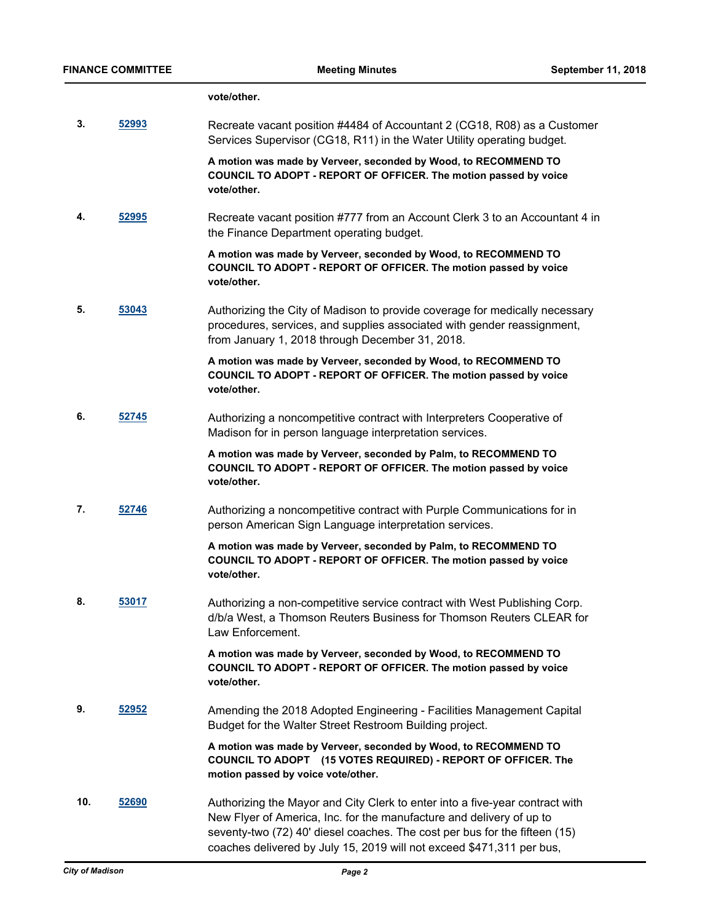#### **vote/other.**

**3. [52993](http://madison.legistar.com/gateway.aspx?m=l&id=/matter.aspx?key=59634)** Recreate vacant position #4484 of Accountant 2 (CG18, R08) as a Customer Services Supervisor (CG18, R11) in the Water Utility operating budget.

> **A motion was made by Verveer, seconded by Wood, to RECOMMEND TO COUNCIL TO ADOPT - REPORT OF OFFICER. The motion passed by voice vote/other.**

**4. [52995](http://madison.legistar.com/gateway.aspx?m=l&id=/matter.aspx?key=59636)** Recreate vacant position #777 from an Account Clerk 3 to an Accountant 4 in the Finance Department operating budget.

> **A motion was made by Verveer, seconded by Wood, to RECOMMEND TO COUNCIL TO ADOPT - REPORT OF OFFICER. The motion passed by voice vote/other.**

**5. [53043](http://madison.legistar.com/gateway.aspx?m=l&id=/matter.aspx?key=59681)** Authorizing the City of Madison to provide coverage for medically necessary procedures, services, and supplies associated with gender reassignment, from January 1, 2018 through December 31, 2018.

> **A motion was made by Verveer, seconded by Wood, to RECOMMEND TO COUNCIL TO ADOPT - REPORT OF OFFICER. The motion passed by voice vote/other.**

**6. [52745](http://madison.legistar.com/gateway.aspx?m=l&id=/matter.aspx?key=58406)** Authorizing a noncompetitive contract with Interpreters Cooperative of Madison for in person language interpretation services.

> **A motion was made by Verveer, seconded by Palm, to RECOMMEND TO COUNCIL TO ADOPT - REPORT OF OFFICER. The motion passed by voice vote/other.**

**7. [52746](http://madison.legistar.com/gateway.aspx?m=l&id=/matter.aspx?key=58407)** Authorizing a noncompetitive contract with Purple Communications for in person American Sign Language interpretation services.

> **A motion was made by Verveer, seconded by Palm, to RECOMMEND TO COUNCIL TO ADOPT - REPORT OF OFFICER. The motion passed by voice vote/other.**

**8. [53017](http://madison.legistar.com/gateway.aspx?m=l&id=/matter.aspx?key=59658)** Authorizing a non-competitive service contract with West Publishing Corp. d/b/a West, a Thomson Reuters Business for Thomson Reuters CLEAR for Law Enforcement.

> **A motion was made by Verveer, seconded by Wood, to RECOMMEND TO COUNCIL TO ADOPT - REPORT OF OFFICER. The motion passed by voice vote/other.**

**9. [52952](http://madison.legistar.com/gateway.aspx?m=l&id=/matter.aspx?key=59593)** Amending the 2018 Adopted Engineering - Facilities Management Capital Budget for the Walter Street Restroom Building project.

> **A motion was made by Verveer, seconded by Wood, to RECOMMEND TO COUNCIL TO ADOPT (15 VOTES REQUIRED) - REPORT OF OFFICER. The motion passed by voice vote/other.**

**10. [52690](http://madison.legistar.com/gateway.aspx?m=l&id=/matter.aspx?key=58351)** Authorizing the Mayor and City Clerk to enter into a five-year contract with New Flyer of America, Inc. for the manufacture and delivery of up to seventy-two (72) 40' diesel coaches. The cost per bus for the fifteen (15) coaches delivered by July 15, 2019 will not exceed \$471,311 per bus,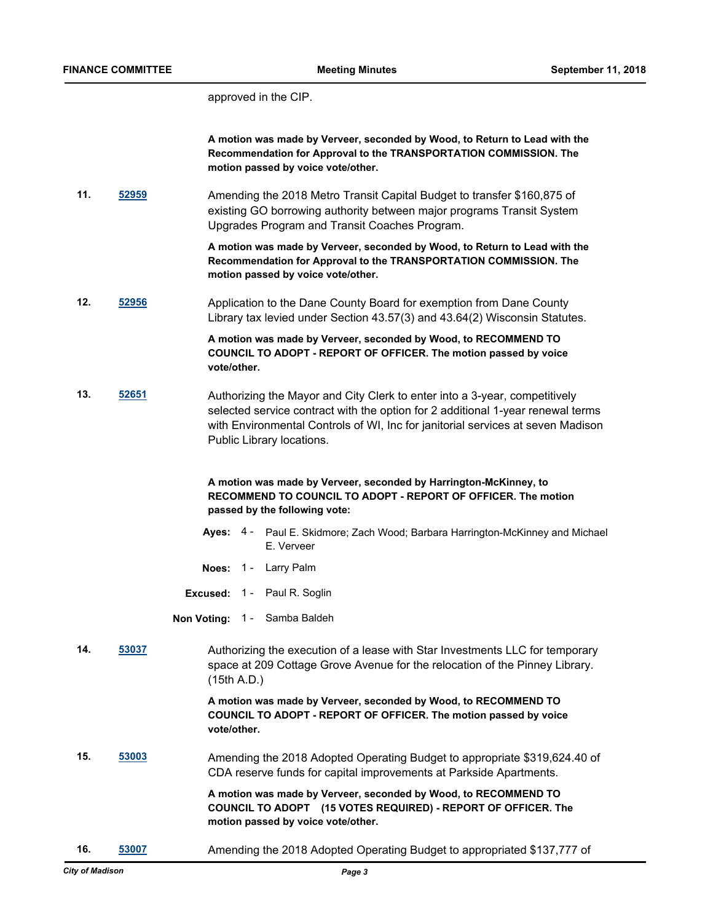approved in the CIP.

**A motion was made by Verveer, seconded by Wood, to Return to Lead with the Recommendation for Approval to the TRANSPORTATION COMMISSION. The motion passed by voice vote/other.**

**11. [52959](http://madison.legistar.com/gateway.aspx?m=l&id=/matter.aspx?key=59600)** Amending the 2018 Metro Transit Capital Budget to transfer \$160,875 of existing GO borrowing authority between major programs Transit System Upgrades Program and Transit Coaches Program.

> **A motion was made by Verveer, seconded by Wood, to Return to Lead with the Recommendation for Approval to the TRANSPORTATION COMMISSION. The motion passed by voice vote/other.**

**12. [52956](http://madison.legistar.com/gateway.aspx?m=l&id=/matter.aspx?key=59597)** Application to the Dane County Board for exemption from Dane County Library tax levied under Section 43.57(3) and 43.64(2) Wisconsin Statutes.

> **A motion was made by Verveer, seconded by Wood, to RECOMMEND TO COUNCIL TO ADOPT - REPORT OF OFFICER. The motion passed by voice vote/other.**

**13. [52651](http://madison.legistar.com/gateway.aspx?m=l&id=/matter.aspx?key=58312)** Authorizing the Mayor and City Clerk to enter into a 3-year, competitively selected service contract with the option for 2 additional 1-year renewal terms with Environmental Controls of WI, Inc for janitorial services at seven Madison Public Library locations.

## **A motion was made by Verveer, seconded by Harrington-McKinney, to RECOMMEND TO COUNCIL TO ADOPT - REPORT OF OFFICER. The motion passed by the following vote:**

- Ayes: 4 Paul E. Skidmore; Zach Wood; Barbara Harrington-McKinney and Michael E. Verveer
- **Noes:** 1 Larry Palm
- **Excused:** 1 Paul R. Soglin

**Non Voting:** 1 - Samba Baldeh

**14. [53037](http://madison.legistar.com/gateway.aspx?m=l&id=/matter.aspx?key=59675)** Authorizing the execution of a lease with Star Investments LLC for temporary space at 209 Cottage Grove Avenue for the relocation of the Pinney Library. (15th A.D.)

> **A motion was made by Verveer, seconded by Wood, to RECOMMEND TO COUNCIL TO ADOPT - REPORT OF OFFICER. The motion passed by voice vote/other.**

**15. [53003](http://madison.legistar.com/gateway.aspx?m=l&id=/matter.aspx?key=59644)** Amending the 2018 Adopted Operating Budget to appropriate \$319,624.40 of CDA reserve funds for capital improvements at Parkside Apartments.

> **A motion was made by Verveer, seconded by Wood, to RECOMMEND TO COUNCIL TO ADOPT (15 VOTES REQUIRED) - REPORT OF OFFICER. The motion passed by voice vote/other.**

**16. [53007](http://madison.legistar.com/gateway.aspx?m=l&id=/matter.aspx?key=59648)** Amending the 2018 Adopted Operating Budget to appropriated \$137,777 of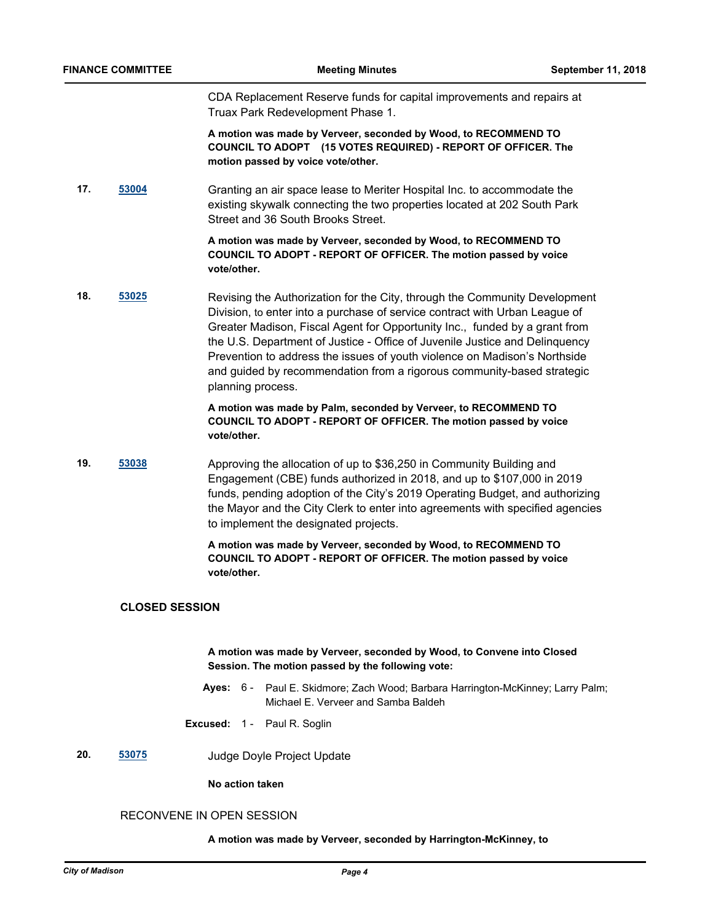CDA Replacement Reserve funds for capital improvements and repairs at Truax Park Redevelopment Phase 1.

**A motion was made by Verveer, seconded by Wood, to RECOMMEND TO COUNCIL TO ADOPT (15 VOTES REQUIRED) - REPORT OF OFFICER. The motion passed by voice vote/other.**

**17. [53004](http://madison.legistar.com/gateway.aspx?m=l&id=/matter.aspx?key=59645)** Granting an air space lease to Meriter Hospital Inc. to accommodate the existing skywalk connecting the two properties located at 202 South Park Street and 36 South Brooks Street.

> **A motion was made by Verveer, seconded by Wood, to RECOMMEND TO COUNCIL TO ADOPT - REPORT OF OFFICER. The motion passed by voice vote/other.**

**18. [53025](http://madison.legistar.com/gateway.aspx?m=l&id=/matter.aspx?key=59666)** Revising the Authorization for the City, through the Community Development Division, to enter into a purchase of service contract with Urban League of Greater Madison, Fiscal Agent for Opportunity Inc., funded by a grant from the U.S. Department of Justice - Office of Juvenile Justice and Delinquency Prevention to address the issues of youth violence on Madison's Northside and guided by recommendation from a rigorous community-based strategic planning process.

> **A motion was made by Palm, seconded by Verveer, to RECOMMEND TO COUNCIL TO ADOPT - REPORT OF OFFICER. The motion passed by voice vote/other.**

**19. [53038](http://madison.legistar.com/gateway.aspx?m=l&id=/matter.aspx?key=59676)** Approving the allocation of up to \$36,250 in Community Building and Engagement (CBE) funds authorized in 2018, and up to \$107,000 in 2019 funds, pending adoption of the City's 2019 Operating Budget, and authorizing the Mayor and the City Clerk to enter into agreements with specified agencies to implement the designated projects.

> **A motion was made by Verveer, seconded by Wood, to RECOMMEND TO COUNCIL TO ADOPT - REPORT OF OFFICER. The motion passed by voice vote/other.**

## **CLOSED SESSION**

## **A motion was made by Verveer, seconded by Wood, to Convene into Closed Session. The motion passed by the following vote:**

- **Ayes:** Paul E. Skidmore; Zach Wood; Barbara Harrington-McKinney; Larry Palm; Michael E. Verveer and Samba Baldeh Aves: 6 -
- **Excused:** 1 Paul R. Soglin
- **20. [53075](http://madison.legistar.com/gateway.aspx?m=l&id=/matter.aspx?key=59710)** Judge Doyle Project Update

**No action taken**

## RECONVENE IN OPEN SESSION

#### **A motion was made by Verveer, seconded by Harrington-McKinney, to**